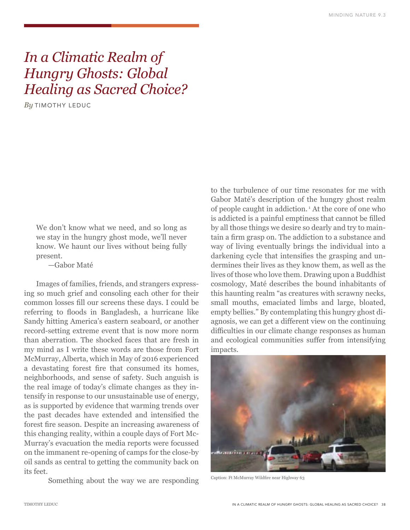# *In a Climatic Realm of Hungry Ghosts: Global Healing as Sacred Choice?*

*By* TIMOTHY LEDUC

We don't know what we need, and so long as we stay in the hungry ghost mode, we'll never know. We haunt our lives without being fully present.

—Gabor Maté

Images of families, friends, and strangers expressing so much grief and consoling each other for their common losses fill our screens these days. I could be referring to floods in Bangladesh, a hurricane like Sandy hitting America's eastern seaboard, or another record-setting extreme event that is now more norm than aberration. The shocked faces that are fresh in my mind as I write these words are those from Fort McMurray, Alberta, which in May of 2016 experienced a devastating forest fire that consumed its homes, neighborhoods, and sense of safety. Such anguish is the real image of today's climate changes as they intensify in response to our unsustainable use of energy, as is supported by evidence that warming trends over the past decades have extended and intensified the forest fire season. Despite an increasing awareness of this changing reality, within a couple days of Fort Mc-Murray's evacuation the media reports were focussed on the immanent re-opening of camps for the close-by oil sands as central to getting the community back on its feet.

Something about the way we are responding

to the turbulence of our time resonates for me with Gabor Maté's description of the hungry ghost realm of people caught in addiction. 1 At the core of one who is addicted is a painful emptiness that cannot be filled by all those things we desire so dearly and try to maintain a firm grasp on. The addiction to a substance and way of living eventually brings the individual into a darkening cycle that intensifies the grasping and undermines their lives as they know them, as well as the lives of those who love them. Drawing upon a Buddhist cosmology, Maté describes the bound inhabitants of this haunting realm "as creatures with scrawny necks, small mouths, emaciated limbs and large, bloated, empty bellies." By contemplating this hungry ghost diagnosis, we can get a different view on the continuing difficulties in our climate change responses as human and ecological communities suffer from intensifying impacts.



Caption: Ft McMurray Wildfire near Highway 63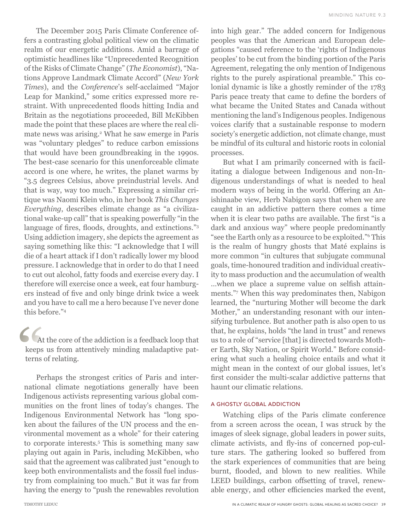The December 2015 Paris Climate Conference offers a contrasting global political view on the climatic realm of our energetic additions. Amid a barrage of optimistic headlines like "Unprecedented Recognition of the Risks of Climate Change" (*The Economist*), "Nations Approve Landmark Climate Accord" (*New York Times*), and the *Conference*'s self-acclaimed "Major Leap for Mankind," some critics expressed more restraint. With unprecedented floods hitting India and Britain as the negotiations proceeded, Bill McKibben made the point that these places are where the real climate news was arising.<sup>2</sup> What he saw emerge in Paris was "voluntary pledges" to reduce carbon emissions that would have been groundbreaking in the 1990s. The best-case scenario for this unenforceable climate accord is one where, he writes, the planet warms by "3.5 degrees Celsius, above preindustrial levels. And that is way, way too much." Expressing a similar critique was Naomi Klein who, in her book *This Changes Everything*, describes climate change as "a civilizational wake-up call" that is speaking powerfully "in the language of fires, floods, droughts, and extinctions."<sup>3</sup> Using addiction imagery, she depicts the agreement as saying something like this: "I acknowledge that I will die of a heart attack if I don't radically lower my blood pressure. I acknowledge that in order to do that I need to cut out alcohol, fatty foods and exercise every day. I therefore will exercise once a week, eat four hamburgers instead of five and only binge drink twice a week and you have to call me a hero because I've never done this before."4

At the core of the addiction is a feedback loop that keeps us from attentively minding maladaptive patterns of relating.

Perhaps the strongest critics of Paris and international climate negotiations generally have been Indigenous activists representing various global communities on the front lines of today's changes. The Indigenous Environmental Network has "long spoken about the failures of the UN process and the environmental movement as a whole" for their catering to corporate interests.5 This is something many saw playing out again in Paris, including McKibben, who said that the agreement was calibrated just "enough to keep both environmentalists and the fossil fuel industry from complaining too much." But it was far from having the energy to "push the renewables revolution

into high gear." The added concern for Indigenous peoples was that the American and European delegations "caused reference to the 'rights of Indigenous peoples' to be cut from the binding portion of the Paris Agreement, relegating the only mention of Indigenous rights to the purely aspirational preamble." This colonial dynamic is like a ghostly reminder of the 1783 Paris peace treaty that came to define the borders of what became the United States and Canada without mentioning the land's Indigenous peoples. Indigenous voices clarify that a sustainable response to modern society's energetic addiction, not climate change, must be mindful of its cultural and historic roots in colonial processes.

But what I am primarily concerned with is facilitating a dialogue between Indigenous and non-Indigenous understandings of what is needed to heal modern ways of being in the world. Offering an Anishinaabe view, Herb Nabigon says that when we are caught in an addictive pattern there comes a time when it is clear two paths are available. The first "is a dark and anxious way" where people predominantly "see the Earth only as a resource to be exploited."6 This is the realm of hungry ghosts that Maté explains is more common "in cultures that subjugate communal goals, time-honoured tradition and individual creativity to mass production and the accumulation of wealth …when we place a supreme value on selfish attainments."7 When this way predominates then, Nabigon learned, the "nurturing Mother will become the dark Mother," an understanding resonant with our intensifying turbulence. But another path is also open to us that, he explains, holds "the land in trust" and renews us to a role of "service [that] is directed towards Mother Earth, Sky Nation, or Spirit World." Before considering what such a healing choice entails and what it might mean in the context of our global issues, let's first consider the multi-scalar addictive patterns that haunt our climatic relations.

## A GHOSTLY GLOBAL ADDICTION

Watching clips of the Paris climate conference from a screen across the ocean, I was struck by the images of sleek signage, global leaders in power suits, climate activists, and fly-ins of concerned pop-culture stars. The gathering looked so buffered from the stark experiences of communities that are being burnt, flooded, and blown to new realities. While LEED buildings, carbon offsetting of travel, renewable energy, and other efficiencies marked the event,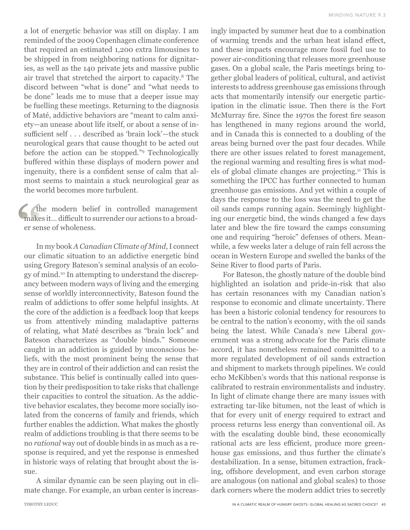a lot of energetic behavior was still on display. I am reminded of the 2009 Copenhagen climate conference that required an estimated 1,200 extra limousines to be shipped in from neighboring nations for dignitaries, as well as the 140 private jets and massive public air travel that stretched the airport to capacity.8 The discord between "what is done" and "what needs to be done" leads me to muse that a deeper issue may be fuelling these meetings. Returning to the diagnosis of Maté, addictive behaviors are "meant to calm anxiety—an unease about life itself, or about a sense of insufficient self . . . described as 'brain lock'—the stuck neurological gears that cause thought to be acted out before the action can be stopped."9 Technologically buffered within these displays of modern power and ingenuity, there is a confident sense of calm that almost seems to maintain a stuck neurological gear as the world becomes more turbulent.

the modern belief in controlled management makes it… difficult to surrender our actions to a broader sense of wholeness.

In my book *A Canadian Climate of Mind*, I connect our climatic situation to an addictive energetic bind using Gregory Bateson's seminal analysis of an ecology of mind.10 In attempting to understand the discrepancy between modern ways of living and the emerging sense of worldly interconnectivity, Bateson found the realm of addictions to offer some helpful insights. At the core of the addiction is a feedback loop that keeps us from attentively minding maladaptive patterns of relating, what Maté describes as "brain lock" and Bateson characterizes as "double binds." Someone caught in an addiction is guided by unconscious beliefs, with the most prominent being the sense that they are in control of their addiction and can resist the substance. This belief is continually called into question by their predisposition to take risks that challenge their capacities to control the situation. As the addictive behavior escalates, they become more socially isolated from the concerns of family and friends, which further enables the addiction. What makes the ghostly realm of addictions troubling is that there seems to be no *rational* way out of double binds in as much as a response is required, and yet the response is enmeshed in historic ways of relating that brought about the issue.

A similar dynamic can be seen playing out in climate change. For example, an urban center is increasingly impacted by summer heat due to a combination of warming trends and the urban heat island effect, and these impacts encourage more fossil fuel use to power air-conditioning that releases more greenhouse gases. On a global scale, the Paris meetings bring together global leaders of political, cultural, and activist interests to address greenhouse gas emissions through acts that momentarily intensify our energetic participation in the climatic issue. Then there is the Fort McMurray fire. Since the 1970s the forest fire season has lengthened in many regions around the world, and in Canada this is connected to a doubling of the areas being burned over the past four decades. While there are other issues related to forest management, the regional warming and resulting fires is what models of global climate changes are projecting.11 This is something the IPCC has further connected to human greenhouse gas emissions. And yet within a couple of days the response to the loss was the need to get the oil sands camps running again. Seemingly highlighting our energetic bind, the winds changed a few days later and blew the fire toward the camps consuming one and requiring "heroic" defenses of others. Meanwhile, a few weeks later a deluge of rain fell across the ocean in Western Europe and swelled the banks of the Seine River to flood parts of Paris.

For Bateson, the ghostly nature of the double bind highlighted an isolation and pride-in-risk that also has certain resonances with my Canadian nation's response to economic and climate uncertainty. There has been a historic colonial tendency for resources to be central to the nation's economy, with the oil sands being the latest. While Canada's new Liberal government was a strong advocate for the Paris climate accord, it has nonetheless remained committed to a more regulated development of oil sands extraction and shipment to markets through pipelines. We could echo McKibben's words that this national response is calibrated to restrain environmentalists and industry. In light of climate change there are many issues with extracting tar-like bitumen, not the least of which is that for every unit of energy required to extract and process returns less energy than conventional oil. As with the escalating double bind, these economically rational acts are less efficient, produce more greenhouse gas emissions, and thus further the climate's destabilization. In a sense, bitumen extraction, fracking, offshore development, and even carbon storage are analogous (on national and global scales) to those dark corners where the modern addict tries to secretly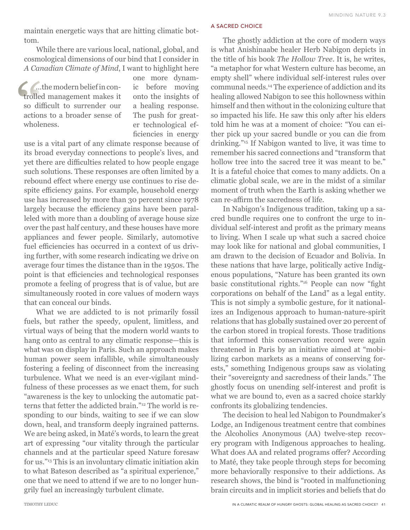maintain energetic ways that are hitting climatic bottom.

While there are various local, national, global, and cosmological dimensions of our bind that I consider in *A Canadian Climate of Mind*, I want to highlight here

…the modern belief in controlled management makes it so difficult to surrender our actions to a broader sense of wholeness.

one more dynamic before moving onto the insights of a healing response. The push for greater technological efficiencies in energy

use is a vital part of any climate response because of its broad everyday connections to people's lives, and yet there are difficulties related to how people engage such solutions. These responses are often limited by a rebound effect where energy use continues to rise despite efficiency gains. For example, household energy use has increased by more than 30 percent since 1978 largely because the efficiency gains have been paralleled with more than a doubling of average house size over the past half century, and these houses have more appliances and fewer people. Similarly, automotive fuel efficiencies has occurred in a context of us driving further, with some research indicating we drive on average four times the distance than in the 1950s. The point is that efficiencies and technological responses promote a feeling of progress that is of value, but are simultaneously rooted in core values of modern ways that can conceal our binds.

What we are addicted to is not primarily fossil fuels, but rather the speedy, opulent, limitless, and virtual ways of being that the modern world wants to hang onto as central to any climatic response—this is what was on display in Paris. Such an approach makes human power seem infallible, while simultaneously fostering a feeling of disconnect from the increasing turbulence. What we need is an ever-vigilant mindfulness of these processes as we enact them, for such "awareness is the key to unlocking the automatic patterns that fetter the addicted brain."12 The world is responding to our binds, waiting to see if we can slow down, heal, and transform deeply ingrained patterns. We are being asked, in Maté's words, to learn the great art of expressing "our vitality through the particular channels and at the particular speed Nature foresaw for us."13 This is an involuntary climatic initiation akin to what Bateson described as "a spiritual experience," one that we need to attend if we are to no longer hungrily fuel an increasingly turbulent climate.

A SACRED CHOICE

The ghostly addiction at the core of modern ways is what Anishinaabe healer Herb Nabigon depicts in the title of his book *The Hollow Tree*. It is, he writes, "a metaphor for what Western culture has become, an empty shell" where individual self-interest rules over communal needs.14 The experience of addiction and its healing allowed Nabigon to see this hollowness within himself and then without in the colonizing culture that so impacted his life. He saw this only after his elders told him he was at a moment of choice: "You can either pick up your sacred bundle or you can die from drinking."15 If Nabigon wanted to live, it was time to remember his sacred connections and "transform that hollow tree into the sacred tree it was meant to be." It is a fateful choice that comes to many addicts. On a climatic global scale, we are in the midst of a similar moment of truth when the Earth is asking whether we can re-affirm the sacredness of life.

In Nabigon's Indigenous tradition, taking up a sacred bundle requires one to confront the urge to individual self-interest and profit as the primary means to living. When I scale up what such a sacred choice may look like for national and global communities, I am drawn to the decision of Ecuador and Bolivia. In these nations that have large, politically active Indigenous populations, "Nature has been granted its own basic constitutional rights."16 People can now "fight corporations on behalf of the Land" as a legal entity. This is not simply a symbolic gesture, for it nationalizes an Indigenous approach to human-nature-spirit relations that has globally sustained over 20 percent of the carbon stored in tropical forests. Those traditions that informed this conservation record were again threatened in Paris by an initiative aimed at "mobilizing carbon markets as a means of conserving forests," something Indigenous groups saw as violating their "sovereignty and sacredness of their lands." The ghostly focus on unending self-interest and profit is what we are bound to, even as a sacred choice starkly confronts its globalizing tendencies.

The decision to heal led Nabigon to Poundmaker's Lodge, an Indigenous treatment centre that combines the Alcoholics Anonymous (AA) twelve-step recovery program with Indigenous approaches to healing. What does AA and related programs offer? According to Maté, they take people through steps for becoming more behaviorally responsive to their addictions. As research shows, the bind is "rooted in malfunctioning brain circuits and in implicit stories and beliefs that do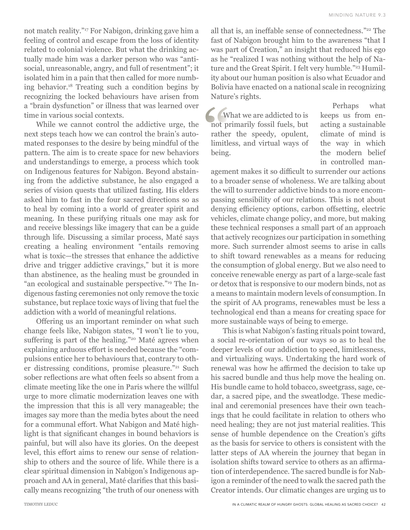not match reality."17 For Nabigon, drinking gave him a feeling of control and escape from the loss of identity related to colonial violence. But what the drinking actually made him was a darker person who was "antisocial, unreasonable, angry, and full of resentment"; it isolated him in a pain that then called for more numbing behavior.18 Treating such a condition begins by recognizing the locked behaviours have arisen from a "brain dysfunction" or illness that was learned over time in various social contexts.

While we cannot control the addictive urge, the next steps teach how we can control the brain's automated responses to the desire by being mindful of the pattern. The aim is to create space for new behaviors and understandings to emerge, a process which took on Indigenous features for Nabigon. Beyond abstaining from the addictive substance, he also engaged a series of vision quests that utilized fasting. His elders asked him to fast in the four sacred directions so as to heal by coming into a world of greater spirit and meaning. In these purifying rituals one may ask for and receive blessings like imagery that can be a guide through life. Discussing a similar process, Maté says creating a healing environment "entails removing what is toxic—the stresses that enhance the addictive drive and trigger addictive cravings," but it is more than abstinence, as the healing must be grounded in "an ecological and sustainable perspective."19 The Indigenous fasting ceremonies not only remove the toxic substance, but replace toxic ways of living that fuel the addiction with a world of meaningful relations.

Offering us an important reminder on what such change feels like, Nabigon states, "I won't lie to you, suffering is part of the healing."<sup>20</sup> Maté agrees when explaining arduous effort is needed because the "compulsions entice her to behaviours that, contrary to other distressing conditions, promise pleasure."21 Such sober reflections are what often feels so absent from a climate meeting like the one in Paris where the willful urge to more climatic modernization leaves one with the impression that this is all very manageable; the images say more than the media bytes about the need for a communal effort. What Nabigon and Maté highlight is that significant changes in bound behaviors is painful, but will also have its glories. On the deepest level, this effort aims to renew our sense of relationship to others and the source of life. While there is a clear spiritual dimension in Nabigon's Indigenous approach and AA in general, Maté clarifies that this basically means recognizing "the truth of our oneness with

all that is, an ineffable sense of connectedness."22 The fast of Nabigon brought him to the awareness "that I was part of Creation," an insight that reduced his ego as he "realized I was nothing without the help of Nature and the Great Spirit. I felt very humble."<sup>23</sup> Humility about our human position is also what Ecuador and Bolivia have enacted on a national scale in recognizing Nature's rights.

What we are addicted to is not primarily fossil fuels, but rather the speedy, opulent, limitless, and virtual ways of being.

Perhaps what keeps us from enacting a sustainable climate of mind is the way in which the modern belief in controlled man-

agement makes it so difficult to surrender our actions to a broader sense of wholeness. We are talking about the will to surrender addictive binds to a more encompassing sensibility of our relations. This is not about denying efficiency options, carbon offsetting, electric vehicles, climate change policy, and more, but making these technical responses a small part of an approach that actively recognizes our participation in something more. Such surrender almost seems to arise in calls to shift toward renewables as a means for reducing the consumption of global energy. But we also need to conceive renewable energy as part of a large-scale fast or detox that is responsive to our modern binds, not as a means to maintain modern levels of consumption. In the spirit of AA programs, renewables must be less a technological end than a means for creating space for more sustainable ways of being to emerge.

This is what Nabigon's fasting rituals point toward, a social re-orientation of our ways so as to heal the deeper levels of our addiction to speed, limitlessness, and virtualizing ways. Undertaking the hard work of renewal was how he affirmed the decision to take up his sacred bundle and thus help move the healing on. His bundle came to hold tobacco, sweetgrass, sage, cedar, a sacred pipe, and the sweatlodge. These medicinal and ceremonial presences have their own teachings that he could facilitate in relation to others who need healing; they are not just material realities. This sense of humble dependence on the Creation's gifts as the basis for service to others is consistent with the latter steps of AA wherein the journey that began in isolation shifts toward service to others as an affirmation of interdependence. The sacred bundle is for Nabigon a reminder of the need to walk the sacred path the Creator intends. Our climatic changes are urging us to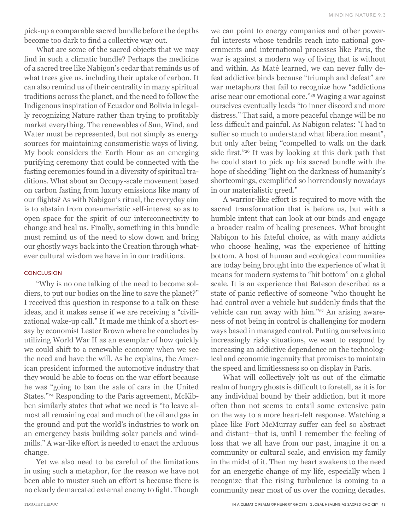pick-up a comparable sacred bundle before the depths become too dark to find a collective way out.

What are some of the sacred objects that we may find in such a climatic bundle? Perhaps the medicine of a sacred tree like Nabigon's cedar that reminds us of what trees give us, including their uptake of carbon. It can also remind us of their centrality in many spiritual traditions across the planet, and the need to follow the Indigenous inspiration of Ecuador and Bolivia in legally recognizing Nature rather than trying to profitably market everything. The renewables of Sun, Wind, and Water must be represented, but not simply as energy sources for maintaining consumeristic ways of living. My book considers the Earth Hour as an emerging purifying ceremony that could be connected with the fasting ceremonies found in a diversity of spiritual traditions. What about an Occupy-scale movement based on carbon fasting from luxury emissions like many of our flights? As with Nabigon's ritual, the everyday aim is to abstain from consumeristic self-interest so as to open space for the spirit of our interconnectivity to change and heal us. Finally, something in this bundle must remind us of the need to slow down and bring our ghostly ways back into the Creation through whatever cultural wisdom we have in in our traditions.

## **CONCLUSION**

"Why is no one talking of the need to become soldiers, to put our bodies on the line to save the planet?" I received this question in response to a talk on these ideas, and it makes sense if we are receiving a "civilizational wake-up call." It made me think of a short essay by economist Lester Brown where he concludes by utilizing World War II as an exemplar of how quickly we could shift to a renewable economy when we see the need and have the will. As he explains, the American president informed the automotive industry that they would be able to focus on the war effort because he was "going to ban the sale of cars in the United States."24 Responding to the Paris agreement, McKibben similarly states that what we need is "to leave almost all remaining coal and much of the oil and gas in the ground and put the world's industries to work on an emergency basis building solar panels and windmills." A war-like effort is needed to enact the arduous change.

Yet we also need to be careful of the limitations in using such a metaphor, for the reason we have not been able to muster such an effort is because there is no clearly demarcated external enemy to fight. Though we can point to energy companies and other powerful interests whose tendrils reach into national governments and international processes like Paris, the war is against a modern way of living that is without and within. As Maté learned, we can never fully defeat addictive binds because "triumph and defeat" are war metaphors that fail to recognize how "addictions arise near our emotional core."25 Waging a war against ourselves eventually leads "to inner discord and more distress." That said, a more peaceful change will be no less difficult and painful. As Nabigon relates: "I had to suffer so much to understand what liberation meant", but only after being "compelled to walk on the dark side first."26 It was by looking at this dark path that he could start to pick up his sacred bundle with the hope of shedding "light on the darkness of humanity's shortcomings, exemplified so horrendously nowadays in our materialistic greed."

A warrior-like effort is required to move with the sacred transformation that is before us, but with a humble intent that can look at our binds and engage a broader realm of healing presences. What brought Nabigon to his fateful choice, as with many addicts who choose healing, was the experience of hitting bottom. A host of human and ecological communities are today being brought into the experience of what it means for modern systems to "hit bottom" on a global scale. It is an experience that Bateson described as a state of panic reflective of someone "who thought he had control over a vehicle but suddenly finds that the vehicle can run away with him."<sup>27</sup> An arising awareness of not being in control is challenging for modern ways based in managed control. Putting ourselves into increasingly risky situations, we want to respond by increasing an addictive dependence on the technological and economic ingenuity that promises to maintain the speed and limitlessness so on display in Paris.

What will collectively jolt us out of the climatic realm of hungry ghosts is difficult to foretell, as it is for any individual bound by their addiction, but it more often than not seems to entail some extensive pain on the way to a more heart-felt response. Watching a place like Fort McMurray suffer can feel so abstract and distant—that is, until I remember the feeling of loss that we all have from our past, imagine it on a community or cultural scale, and envision my family in the midst of it. Then my heart awakens to the need for an energetic change of my life, especially when I recognize that the rising turbulence is coming to a community near most of us over the coming decades.